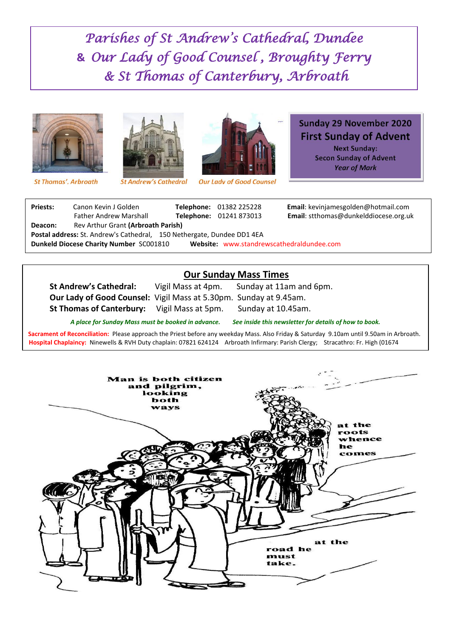*Parishes of St Andrew's Cathedral, Dundee*  **&** *Our Lady of Good Counsel , Broughty Ferry & St Thomas of Canterbury, Arbroath* 







**St Andrew's Cathedral** 



**Our Lady of Good Counsel** 

#### **Sunday 29 November 2020 First Sunday of Advent Next Sunday: Secon Sunday of Advent Year of Mark**

**Priests:** Canon Kevin J Golden **Telephone:** 01382 225228 **Email**: kevinjamesgolden@hotmail.com kelddiocese.org.uk

| <b>Priests:</b>                                                                      | Canon Kevin J Golden               |  | Telephone: 01382 225228 | <b>Email:</b> kevinjamesgolde |  |
|--------------------------------------------------------------------------------------|------------------------------------|--|-------------------------|-------------------------------|--|
|                                                                                      | <b>Father Andrew Marshall</b>      |  | Telephone: 01241 873013 | <b>Email:</b> stthomas@dunk   |  |
| Deacon:                                                                              | Rev Arthur Grant (Arbroath Parish) |  |                         |                               |  |
| Postal address: St. Andrew's Cathedral, 150 Nethergate, Dundee DD1 4EA               |                                    |  |                         |                               |  |
| Dunkeld Diocese Charity Number SC001810<br>Website: www.standrewscathedraldundee.com |                                    |  |                         |                               |  |

### **Our Sunday Mass Times**

**St Andrew's Cathedral:** Vigil Mass at 4pm. Sunday at 11am and 6pm. **Our Lady of Good Counsel:** Vigil Mass at 5.30pm. Sunday at 9.45am.

**St Thomas of Canterbury:** Vigil Mass at 5pm. Sunday at 10.45am.

*A place for Sunday Mass must be booked in advance. See inside this newsletter for details of how to book.*

**Sacrament of Reconciliation:** Please approach the Priest before any weekday Mass. Also Friday & Saturday 9.10am until 9.50am in Arbroath. **Hospital Chaplaincy:** Ninewells & RVH Duty chaplain: 07821 624124 Arbroath Infirmary: Parish Clergy; Stracathro: Fr. High (01674

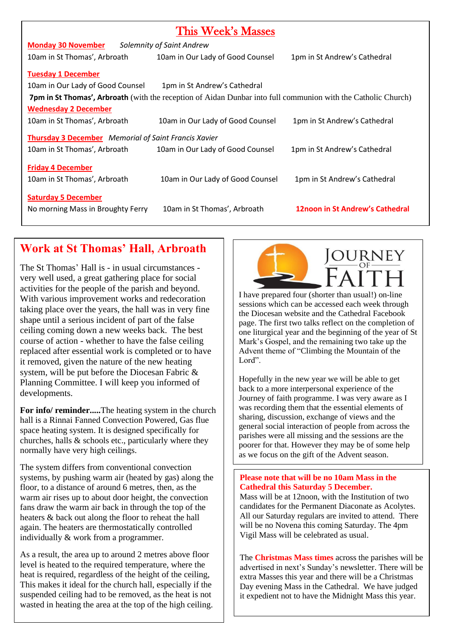| This Week's Masses                                                                                                   |                                  |                                 |  |  |  |
|----------------------------------------------------------------------------------------------------------------------|----------------------------------|---------------------------------|--|--|--|
| <b>Monday 30 November</b><br>Solemnity of Saint Andrew                                                               |                                  |                                 |  |  |  |
| 10am in St Thomas', Arbroath                                                                                         | 10am in Our Lady of Good Counsel | 1pm in St Andrew's Cathedral    |  |  |  |
| <b>Tuesday 1 December</b>                                                                                            |                                  |                                 |  |  |  |
| 10am in Our Lady of Good Counsel<br>1pm in St Andrew's Cathedral                                                     |                                  |                                 |  |  |  |
| <b>7pm in St Thomas', Arbroath</b> (with the reception of Aidan Dunbar into full communion with the Catholic Church) |                                  |                                 |  |  |  |
| <b>Wednesday 2 December</b>                                                                                          |                                  |                                 |  |  |  |
| 10am in St Thomas', Arbroath                                                                                         | 10am in Our Lady of Good Counsel | 1pm in St Andrew's Cathedral    |  |  |  |
| <b>Thursday 3 December</b> Memorial of Saint Francis Xavier                                                          |                                  |                                 |  |  |  |
| 10am in St Thomas', Arbroath                                                                                         | 10am in Our Lady of Good Counsel | 1pm in St Andrew's Cathedral    |  |  |  |
| <b>Friday 4 December</b>                                                                                             |                                  |                                 |  |  |  |
| 10am in St Thomas', Arbroath                                                                                         | 10am in Our Lady of Good Counsel | 1pm in St Andrew's Cathedral    |  |  |  |
|                                                                                                                      |                                  |                                 |  |  |  |
| <b>Saturday 5 December</b>                                                                                           |                                  |                                 |  |  |  |
| No morning Mass in Broughty Ferry                                                                                    | 10am in St Thomas', Arbroath     | 12noon in St Andrew's Cathedral |  |  |  |

# **Work at St Thomas' Hall, Arbroath**

The St Thomas' Hall is - in usual circumstances very well used, a great gathering place for social activities for the people of the parish and beyond. With various improvement works and redecoration taking place over the years, the hall was in very fine shape until a serious incident of part of the false ceiling coming down a new weeks back. The best course of action - whether to have the false ceiling replaced after essential work is completed or to have it removed, given the nature of the new heating system, will be put before the Diocesan Fabric & Planning Committee. I will keep you informed of developments.

**For info/ reminder.....**The heating system in the church hall is a Rinnai Fanned Convection Powered, Gas flue space heating system. It is designed specifically for churches, halls & schools etc., particularly where they normally have very high ceilings.

The system differs from conventional convection systems, by pushing warm air (heated by gas) along the floor, to a distance of around 6 metres, then, as the warm air rises up to about door height, the convection fans draw the warm air back in through the top of the heaters & back out along the floor to reheat the hall again. The heaters are thermostatically controlled individually & work from a programmer.

As a result, the area up to around 2 metres above floor level is heated to the required temperature, where the heat is required, regardless of the height of the ceiling, This makes it ideal for the church hall, especially if the suspended ceiling had to be removed, as the heat is not wasted in heating the area at the top of the high ceiling.



I have prepared four (shorter than usual!) on-line sessions which can be accessed each week through the Diocesan website and the Cathedral Facebook page. The first two talks reflect on the completion of one liturgical year and the beginning of the year of St Mark's Gospel, and the remaining two take up the Advent theme of "Climbing the Mountain of the Lord".

Hopefully in the new year we will be able to get back to a more interpersonal experience of the Journey of faith programme. I was very aware as I was recording them that the essential elements of sharing, discussion, exchange of views and the general social interaction of people from across the parishes were all missing and the sessions are the poorer for that. However they may be of some help as we focus on the gift of the Advent season.

#### **Please note that will be no 10am Mass in the Cathedral this Saturday 5 December.**

Mass will be at 12noon, with the Institution of two candidates for the Permanent Diaconate as Acolytes. All our Saturday regulars are invited to attend. There will be no Novena this coming Saturday. The 4pm Vigil Mass will be celebrated as usual.

The **Christmas Mass times** across the parishes will be advertised in next's Sunday's newsletter. There will be extra Masses this year and there will be a Christmas Day evening Mass in the Cathedral. We have judged it expedient not to have the Midnight Mass this year.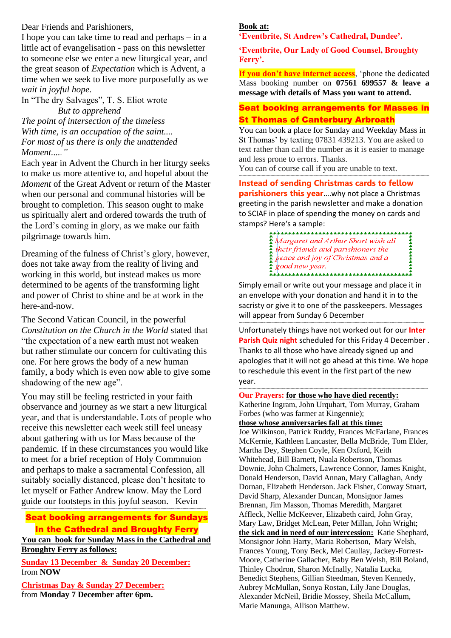Dear Friends and Parishioners,

I hope you can take time to read and perhaps – in a little act of evangelisation - pass on this newsletter to someone else we enter a new liturgical year, and the great season of *Expectation* which is Advent, a time when we seek to live more purposefully as we *wait in joyful hope*.

In "The dry Salvages", T. S. Eliot wrote  *But to apprehend*

*The point of intersection of the timeless With time, is an occupation of the saint.... For most of us there is only the unattended Moment....."*

Each year in Advent the Church in her liturgy seeks to make us more attentive to, and hopeful about the *Moment* of the Great Advent or return of the Master when our personal and communal histories will be brought to completion. This season ought to make us spiritually alert and ordered towards the truth of the Lord's coming in glory, as we make our faith pilgrimage towards him.

Dreaming of the fulness of Christ's glory, however, does not take away from the reality of living and working in this world, but instead makes us more determined to be agents of the transforming light and power of Christ to shine and be at work in the here-and-now.

The Second Vatican Council, in the powerful *Constitution on the Church in the World* stated that "the expectation of a new earth must not weaken but rather stimulate our concern for cultivating this one. For here grows the body of a new human family, a body which is even now able to give some shadowing of the new age".

You may still be feeling restricted in your faith observance and journey as we start a new liturgical year, and that is understandable. Lots of people who receive this newsletter each week still feel uneasy about gathering with us for Mass because of the pandemic. If in these circumstances you would like to meet for a brief reception of Holy Commnuion and perhaps to make a sacramental Confession, all suitably socially distanced, please don't hesitate to let myself or Father Andrew know. May the Lord guide our footsteps in this joyful season. Kevin ---------------------------------------------------------------------------------------------------------------------------------------------------------------

Seat booking arrangements for Sundays In the Cathedral and Broughty Ferry

**You can book for Sunday Mass in the Cathedral and Broughty Ferry as follows:**

**Sunday 13 December & Sunday 20 December:** from **NOW**

**Christmas Day & Sunday 27 December:** from **Monday 7 December after 6pm.**

## **Book at:**

**'Eventbrite, St Andrew's Cathedral, Dundee'.**

**'Eventbrite, Our Lady of Good Counsel, Broughty Ferry'.**

**If you don't have internet access**, 'phone the dedicated Mass booking number on **07561 699557 & leave a message with details of Mass you want to attend.** 

#### Seat booking arrangements for Masses in St Thomas of Canterbury Arbroath

You can book a place for Sunday and Weekday Mass in St Thomas' by texting 07831 439213. You are asked to text rather than call the number as it is easier to manage and less prone to errors. Thanks.

-------------------------------------------------------------------------------------------------------------------------------------------------------

You can of course call if you are unable to text.

**Instead of sending Christmas cards to fellow parishioners this year**….why not place a Christmas greeting in the parish newsletter and make a donation to SCIAF in place of spending the money on cards and stamps? Here's a sample:

> 本本本本本本本本本本 Margaret and Arthur Short wish all<br>
> their friends and parishioners the<br>
> peace and joy of Christmas and a<br>
> peace and joy of Christmas and a

Simply email or write out your message and place it in an envelope with your donation and hand it in to the sacristy or give it to one of the passkeepers. Messages will appear from Sunday 6 December

**----------------------------------------------------------------------------------------------------------------------------------------------------------------**

Unfortunately things have not worked out for our **Inter Parish Quiz night** scheduled for this Friday 4 December . Thanks to all those who have already signed up and apologies that it will not go ahead at this time. We hope to reschedule this event in the first part of the new year.

**------------------------------------------------------------------------------------------------------------------------------------------------------**

**Our Prayers: for those who have died recently:** Katherine Ingram, John Urquhart, Tom Murray, Graham

Forbes (who was farmer at Kingennie);

**those whose anniversaries fall at this time:**

Joe Wilkinson, Patrick Ruddy, Frances McFarlane, Frances McKernie, Kathleen Lancaster, Bella McBride, Tom Elder, Martha Dey, Stephen Coyle, Ken Oxford, Keith Whitehead, Bill Barnett, Nuala Robertson, Thomas Downie, John Chalmers, Lawrence Connor, James Knight, Donald Henderson, David Annan, Mary Callaghan, Andy Dornan, Elizabeth Henderson. Jack Fisher, Conway Stuart, David Sharp, Alexander Duncan, Monsignor James Brennan, Jim Masson, Thomas Meredith, Margaret Affleck, Nellie McKeever, Elizabeth caird, John Gray, Mary Law, Bridget McLean, Peter Millan, John Wright; **the sick and in need of our intercession:** Katie Shephard, Monsignor John Harty, Maria Robertson, Mary Welsh, Frances Young, Tony Beck, Mel Caullay, Jackey-Forrest-Moore, Catherine Gallacher, Baby Ben Welsh, Bill Boland, Thinley Chodron, Sharon McInally, Natalia Lucka, Benedict Stephens, Gillian Steedman, Steven Kennedy, Aubrey McMullan, Sonya Rostan, Lily Jane Douglas, Alexander McNeil, Bridie Mossey, Sheila McCallum, Marie Manunga, Allison Matthew.